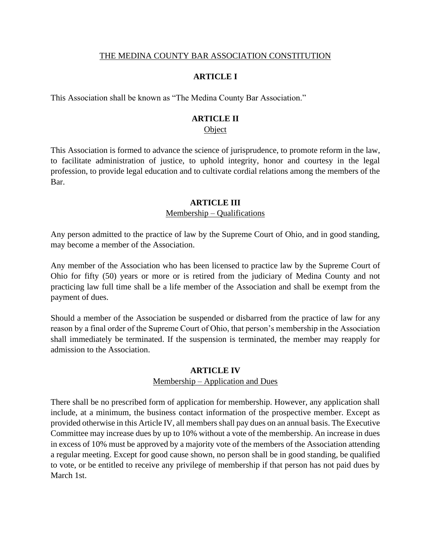#### THE MEDINA COUNTY BAR ASSOCIATION CONSTITUTION

# **ARTICLE I**

This Association shall be known as "The Medina County Bar Association."

### **ARTICLE II**

#### **Object**

This Association is formed to advance the science of jurisprudence, to promote reform in the law, to facilitate administration of justice, to uphold integrity, honor and courtesy in the legal profession, to provide legal education and to cultivate cordial relations among the members of the Bar.

#### **ARTICLE III**

#### Membership – Qualifications

Any person admitted to the practice of law by the Supreme Court of Ohio, and in good standing, may become a member of the Association.

Any member of the Association who has been licensed to practice law by the Supreme Court of Ohio for fifty (50) years or more or is retired from the judiciary of Medina County and not practicing law full time shall be a life member of the Association and shall be exempt from the payment of dues.

Should a member of the Association be suspended or disbarred from the practice of law for any reason by a final order of the Supreme Court of Ohio, that person's membership in the Association shall immediately be terminated. If the suspension is terminated, the member may reapply for admission to the Association.

#### **ARTICLE IV**

#### Membership – Application and Dues

There shall be no prescribed form of application for membership. However, any application shall include, at a minimum, the business contact information of the prospective member. Except as provided otherwise in this Article IV, all members shall pay dues on an annual basis. The Executive Committee may increase dues by up to 10% without a vote of the membership. An increase in dues in excess of 10% must be approved by a majority vote of the members of the Association attending a regular meeting. Except for good cause shown, no person shall be in good standing, be qualified to vote, or be entitled to receive any privilege of membership if that person has not paid dues by March 1st.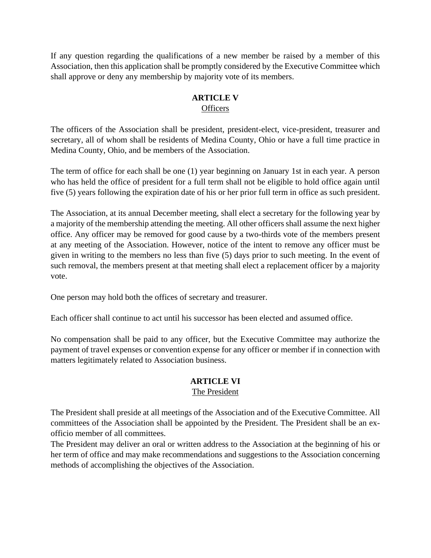If any question regarding the qualifications of a new member be raised by a member of this Association, then this application shall be promptly considered by the Executive Committee which shall approve or deny any membership by majority vote of its members.

# **ARTICLE V Officers**

The officers of the Association shall be president, president-elect, vice-president, treasurer and secretary, all of whom shall be residents of Medina County, Ohio or have a full time practice in Medina County, Ohio, and be members of the Association.

The term of office for each shall be one (1) year beginning on January 1st in each year. A person who has held the office of president for a full term shall not be eligible to hold office again until five (5) years following the expiration date of his or her prior full term in office as such president.

The Association, at its annual December meeting, shall elect a secretary for the following year by a majority of the membership attending the meeting. All other officers shall assume the next higher office. Any officer may be removed for good cause by a two-thirds vote of the members present at any meeting of the Association. However, notice of the intent to remove any officer must be given in writing to the members no less than five (5) days prior to such meeting. In the event of such removal, the members present at that meeting shall elect a replacement officer by a majority vote.

One person may hold both the offices of secretary and treasurer.

Each officer shall continue to act until his successor has been elected and assumed office.

No compensation shall be paid to any officer, but the Executive Committee may authorize the payment of travel expenses or convention expense for any officer or member if in connection with matters legitimately related to Association business.

#### **ARTICLE VI** The President

The President shall preside at all meetings of the Association and of the Executive Committee. All committees of the Association shall be appointed by the President. The President shall be an exofficio member of all committees.

The President may deliver an oral or written address to the Association at the beginning of his or her term of office and may make recommendations and suggestions to the Association concerning methods of accomplishing the objectives of the Association.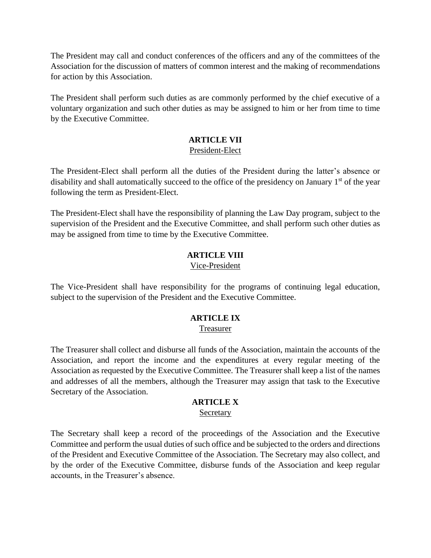The President may call and conduct conferences of the officers and any of the committees of the Association for the discussion of matters of common interest and the making of recommendations for action by this Association.

The President shall perform such duties as are commonly performed by the chief executive of a voluntary organization and such other duties as may be assigned to him or her from time to time by the Executive Committee.

## **ARTICLE VII**

#### President-Elect

The President-Elect shall perform all the duties of the President during the latter's absence or disability and shall automatically succeed to the office of the presidency on January 1<sup>st</sup> of the year following the term as President-Elect.

The President-Elect shall have the responsibility of planning the Law Day program, subject to the supervision of the President and the Executive Committee, and shall perform such other duties as may be assigned from time to time by the Executive Committee.

# **ARTICLE VIII**

#### Vice-President

The Vice-President shall have responsibility for the programs of continuing legal education, subject to the supervision of the President and the Executive Committee.

### **ARTICLE IX** Treasurer

The Treasurer shall collect and disburse all funds of the Association, maintain the accounts of the Association, and report the income and the expenditures at every regular meeting of the Association as requested by the Executive Committee. The Treasurer shall keep a list of the names and addresses of all the members, although the Treasurer may assign that task to the Executive Secretary of the Association.

#### **ARTICLE X**

#### Secretary

The Secretary shall keep a record of the proceedings of the Association and the Executive Committee and perform the usual duties of such office and be subjected to the orders and directions of the President and Executive Committee of the Association. The Secretary may also collect, and by the order of the Executive Committee, disburse funds of the Association and keep regular accounts, in the Treasurer's absence.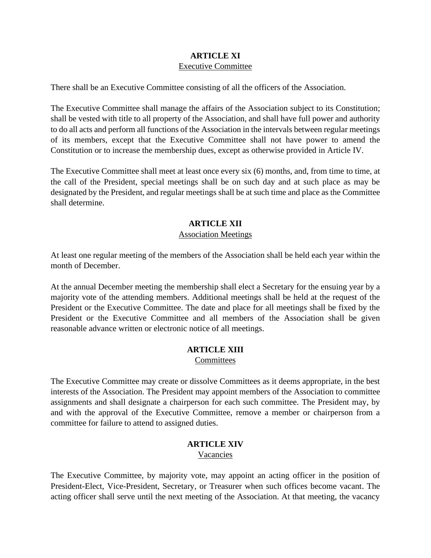# **ARTICLE XI** Executive Committee

There shall be an Executive Committee consisting of all the officers of the Association.

The Executive Committee shall manage the affairs of the Association subject to its Constitution; shall be vested with title to all property of the Association, and shall have full power and authority to do all acts and perform all functions of the Association in the intervals between regular meetings of its members, except that the Executive Committee shall not have power to amend the Constitution or to increase the membership dues, except as otherwise provided in Article IV.

The Executive Committee shall meet at least once every six (6) months, and, from time to time, at the call of the President, special meetings shall be on such day and at such place as may be designated by the President, and regular meetings shall be at such time and place as the Committee shall determine.

# **ARTICLE XII**

#### Association Meetings

At least one regular meeting of the members of the Association shall be held each year within the month of December.

At the annual December meeting the membership shall elect a Secretary for the ensuing year by a majority vote of the attending members. Additional meetings shall be held at the request of the President or the Executive Committee. The date and place for all meetings shall be fixed by the President or the Executive Committee and all members of the Association shall be given reasonable advance written or electronic notice of all meetings.

# **ARTICLE XIII**

Committees

The Executive Committee may create or dissolve Committees as it deems appropriate, in the best interests of the Association. The President may appoint members of the Association to committee assignments and shall designate a chairperson for each such committee. The President may, by and with the approval of the Executive Committee, remove a member or chairperson from a committee for failure to attend to assigned duties.

# **ARTICLE XIV**

Vacancies

The Executive Committee, by majority vote, may appoint an acting officer in the position of President-Elect, Vice-President, Secretary, or Treasurer when such offices become vacant. The acting officer shall serve until the next meeting of the Association. At that meeting, the vacancy